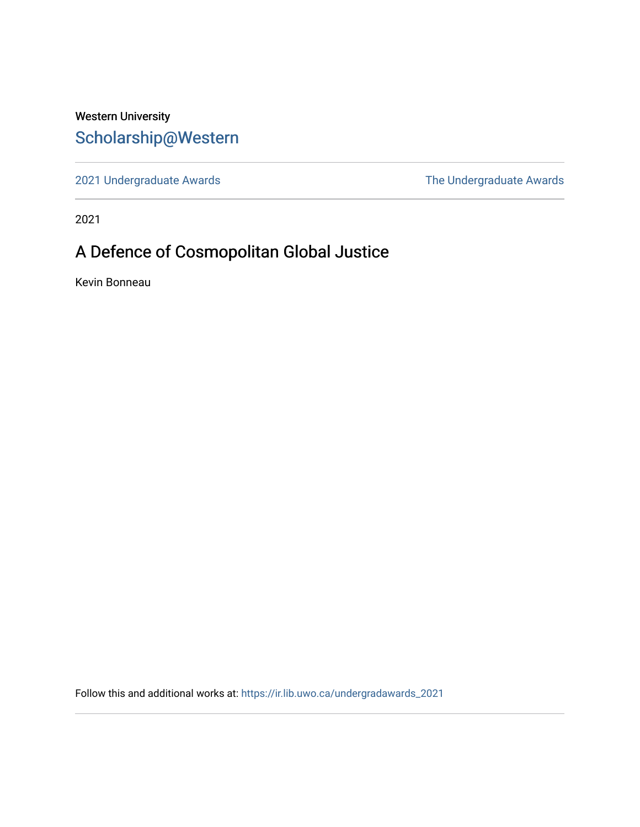# Western University [Scholarship@Western](https://ir.lib.uwo.ca/)

[2021 Undergraduate Awards](https://ir.lib.uwo.ca/undergradawards_2021) [The Undergraduate Awards](https://ir.lib.uwo.ca/ungradawards) 

2021

# A Defence of Cosmopolitan Global Justice

Kevin Bonneau

Follow this and additional works at: [https://ir.lib.uwo.ca/undergradawards\\_2021](https://ir.lib.uwo.ca/undergradawards_2021?utm_source=ir.lib.uwo.ca%2Fundergradawards_2021%2F13&utm_medium=PDF&utm_campaign=PDFCoverPages)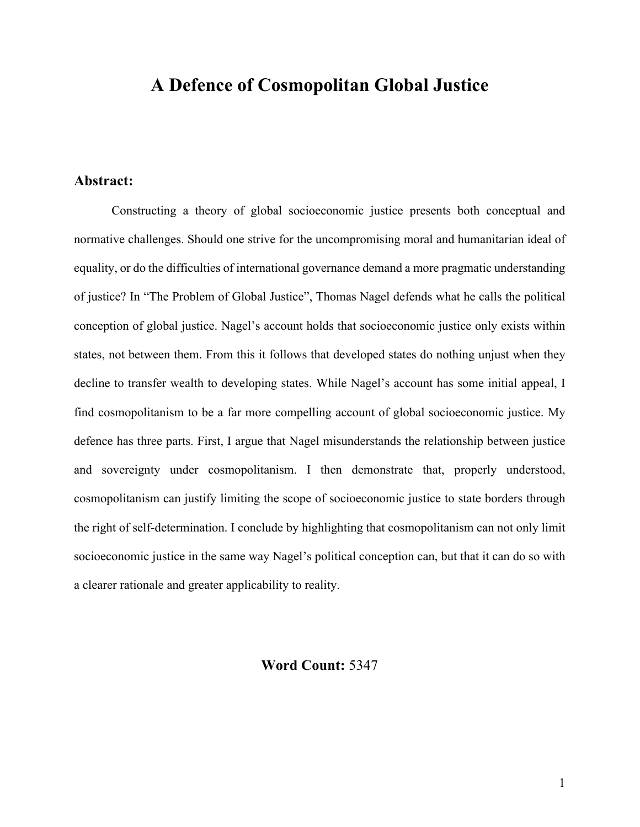# **A Defence of Cosmopolitan Global Justice**

# **Abstract:**

Constructing a theory of global socioeconomic justice presents both conceptual and normative challenges. Should one strive for the uncompromising moral and humanitarian ideal of equality, or do the difficulties of international governance demand a more pragmatic understanding of justice? In "The Problem of Global Justice", Thomas Nagel defends what he calls the political conception of global justice. Nagel's account holds that socioeconomic justice only exists within states, not between them. From this it follows that developed states do nothing unjust when they decline to transfer wealth to developing states. While Nagel's account has some initial appeal, I find cosmopolitanism to be a far more compelling account of global socioeconomic justice. My defence has three parts. First, I argue that Nagel misunderstands the relationship between justice and sovereignty under cosmopolitanism. I then demonstrate that, properly understood, cosmopolitanism can justify limiting the scope of socioeconomic justice to state borders through the right of self-determination. I conclude by highlighting that cosmopolitanism can not only limit socioeconomic justice in the same way Nagel's political conception can, but that it can do so with a clearer rationale and greater applicability to reality.

## **Word Count:** 5347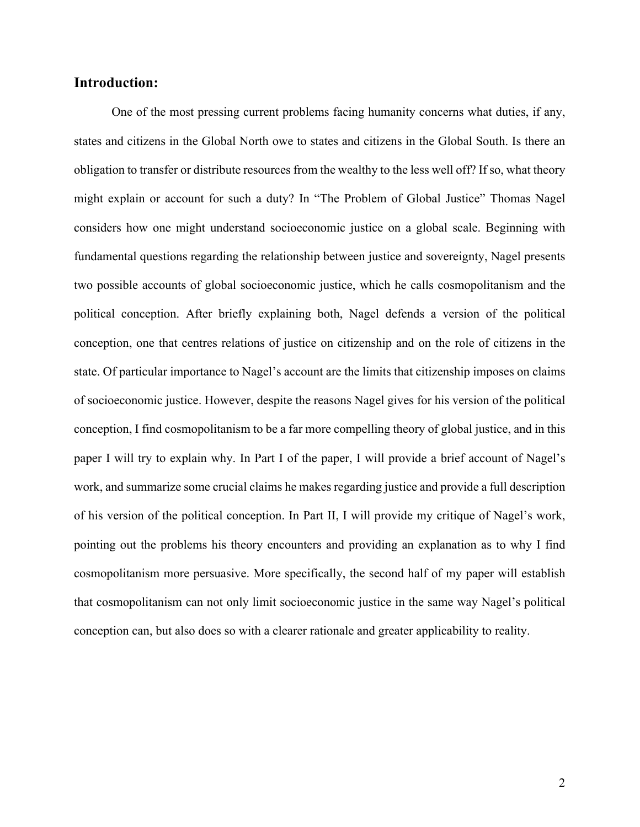### **Introduction:**

One of the most pressing current problems facing humanity concerns what duties, if any, states and citizens in the Global North owe to states and citizens in the Global South. Is there an obligation to transfer or distribute resources from the wealthy to the less well off? If so, what theory might explain or account for such a duty? In "The Problem of Global Justice" Thomas Nagel considers how one might understand socioeconomic justice on a global scale. Beginning with fundamental questions regarding the relationship between justice and sovereignty, Nagel presents two possible accounts of global socioeconomic justice, which he calls cosmopolitanism and the political conception. After briefly explaining both, Nagel defends a version of the political conception, one that centres relations of justice on citizenship and on the role of citizens in the state. Of particular importance to Nagel's account are the limits that citizenship imposes on claims of socioeconomic justice. However, despite the reasons Nagel gives for his version of the political conception, I find cosmopolitanism to be a far more compelling theory of global justice, and in this paper I will try to explain why. In Part I of the paper, I will provide a brief account of Nagel's work, and summarize some crucial claims he makes regarding justice and provide a full description of his version of the political conception. In Part II, I will provide my critique of Nagel's work, pointing out the problems his theory encounters and providing an explanation as to why I find cosmopolitanism more persuasive. More specifically, the second half of my paper will establish that cosmopolitanism can not only limit socioeconomic justice in the same way Nagel's political conception can, but also does so with a clearer rationale and greater applicability to reality.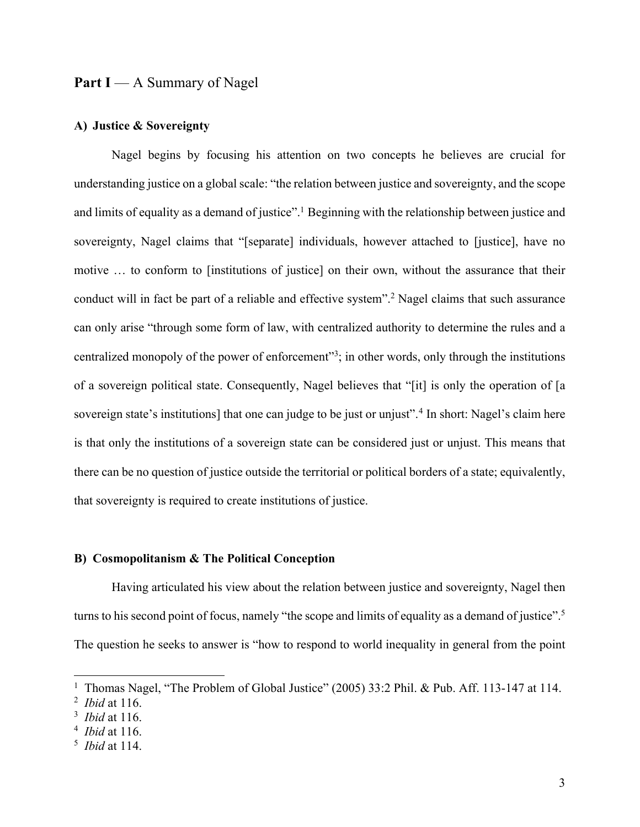# Part I — A Summary of Nagel

#### **A) Justice & Sovereignty**

Nagel begins by focusing his attention on two concepts he believes are crucial for understanding justice on a global scale: "the relation between justice and sovereignty, and the scope and limits of equality as a demand of justice".<sup>1</sup> Beginning with the relationship between justice and sovereignty, Nagel claims that "[separate] individuals, however attached to [justice], have no motive … to conform to [institutions of justice] on their own, without the assurance that their conduct will in fact be part of a reliable and effective system". <sup>2</sup> Nagel claims that such assurance can only arise "through some form of law, with centralized authority to determine the rules and a centralized monopoly of the power of enforcement<sup>33</sup>; in other words, only through the institutions of a sovereign political state. Consequently, Nagel believes that "[it] is only the operation of [a sovereign state's institutions] that one can judge to be just or unjust".<sup>4</sup> In short: Nagel's claim here is that only the institutions of a sovereign state can be considered just or unjust. This means that there can be no question of justice outside the territorial or political borders of a state; equivalently, that sovereignty is required to create institutions of justice.

#### **B) Cosmopolitanism & The Political Conception**

Having articulated his view about the relation between justice and sovereignty, Nagel then turns to his second point of focus, namely "the scope and limits of equality as a demand of justice".<sup>5</sup> The question he seeks to answer is "how to respond to world inequality in general from the point

<sup>&</sup>lt;sup>1</sup> Thomas Nagel, "The Problem of Global Justice" (2005) 33:2 Phil. & Pub. Aff. 113-147 at 114.

<sup>2</sup> *Ibid* at 116.

<sup>3</sup> *Ibid* at 116.

<sup>4</sup> *Ibid* at 116.

<sup>5</sup> *Ibid* at 114.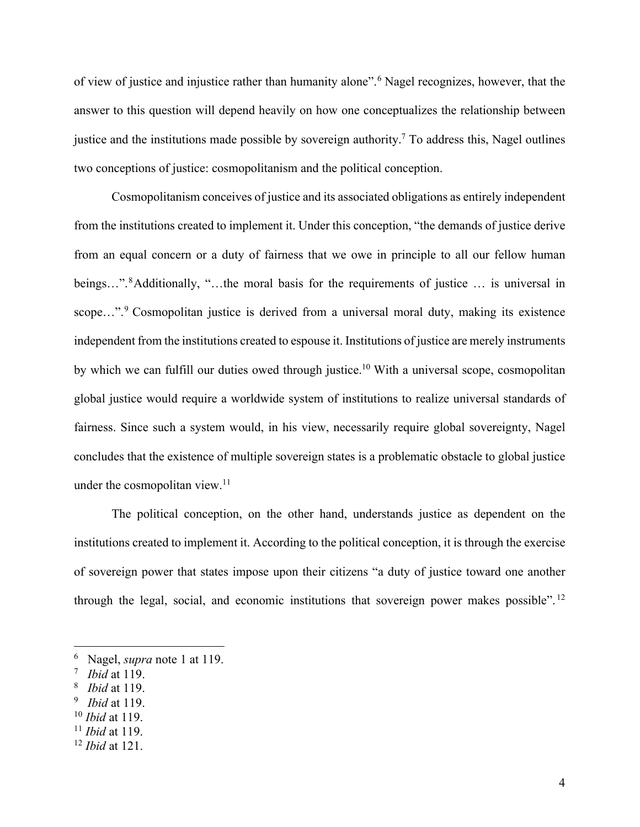of view of justice and injustice rather than humanity alone". <sup>6</sup> Nagel recognizes, however, that the answer to this question will depend heavily on how one conceptualizes the relationship between justice and the institutions made possible by sovereign authority. <sup>7</sup> To address this, Nagel outlines two conceptions of justice: cosmopolitanism and the political conception.

Cosmopolitanism conceives of justice and its associated obligations as entirely independent from the institutions created to implement it. Under this conception, "the demands of justice derive from an equal concern or a duty of fairness that we owe in principle to all our fellow human beings...".<sup>8</sup>Additionally, "...the moral basis for the requirements of justice ... is universal in scope...".<sup>9</sup> Cosmopolitan justice is derived from a universal moral duty, making its existence independent from the institutions created to espouse it. Institutions of justice are merely instruments by which we can fulfill our duties owed through justice.<sup>10</sup> With a universal scope, cosmopolitan global justice would require a worldwide system of institutions to realize universal standards of fairness. Since such a system would, in his view, necessarily require global sovereignty, Nagel concludes that the existence of multiple sovereign states is a problematic obstacle to global justice under the cosmopolitan view. 11

The political conception, on the other hand, understands justice as dependent on the institutions created to implement it. According to the political conception, it is through the exercise of sovereign power that states impose upon their citizens "a duty of justice toward one another through the legal, social, and economic institutions that sovereign power makes possible". <sup>12</sup>

- <sup>8</sup> *Ibid* at 119.
- 9 *Ibid* at 119.
- <sup>10</sup> *Ibid* at 119.
- <sup>11</sup> *Ibid* at 119.

<sup>6</sup> Nagel, *supra* note 1 at 119.

<sup>7</sup> *Ibid* at 119.

<sup>12</sup> *Ibid* at 121.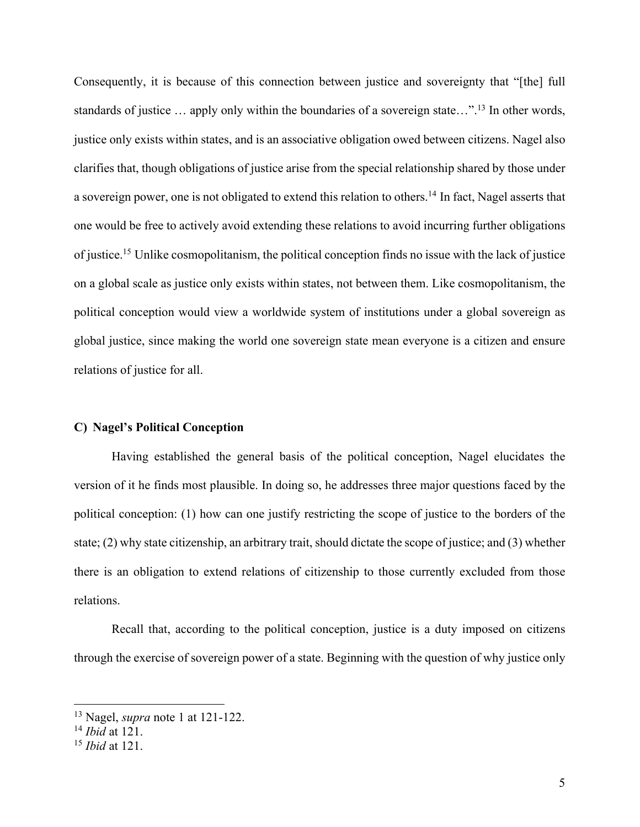Consequently, it is because of this connection between justice and sovereignty that "[the] full standards of justice ... apply only within the boundaries of a sovereign state...".<sup>13</sup> In other words, justice only exists within states, and is an associative obligation owed between citizens. Nagel also clarifies that, though obligations of justice arise from the special relationship shared by those under a sovereign power, one is not obligated to extend this relation to others.<sup>14</sup> In fact, Nagel asserts that one would be free to actively avoid extending these relations to avoid incurring further obligations of justice. <sup>15</sup> Unlike cosmopolitanism, the political conception finds no issue with the lack of justice on a global scale as justice only exists within states, not between them. Like cosmopolitanism, the political conception would view a worldwide system of institutions under a global sovereign as global justice, since making the world one sovereign state mean everyone is a citizen and ensure relations of justice for all.

#### **C) Nagel's Political Conception**

Having established the general basis of the political conception, Nagel elucidates the version of it he finds most plausible. In doing so, he addresses three major questions faced by the political conception: (1) how can one justify restricting the scope of justice to the borders of the state; (2) why state citizenship, an arbitrary trait, should dictate the scope of justice; and (3) whether there is an obligation to extend relations of citizenship to those currently excluded from those relations.

Recall that, according to the political conception, justice is a duty imposed on citizens through the exercise of sovereign power of a state. Beginning with the question of why justice only

<sup>13</sup> Nagel, *supra* note 1 at 121-122.

<sup>14</sup> *Ibid* at 121.

<sup>15</sup> *Ibid* at 121.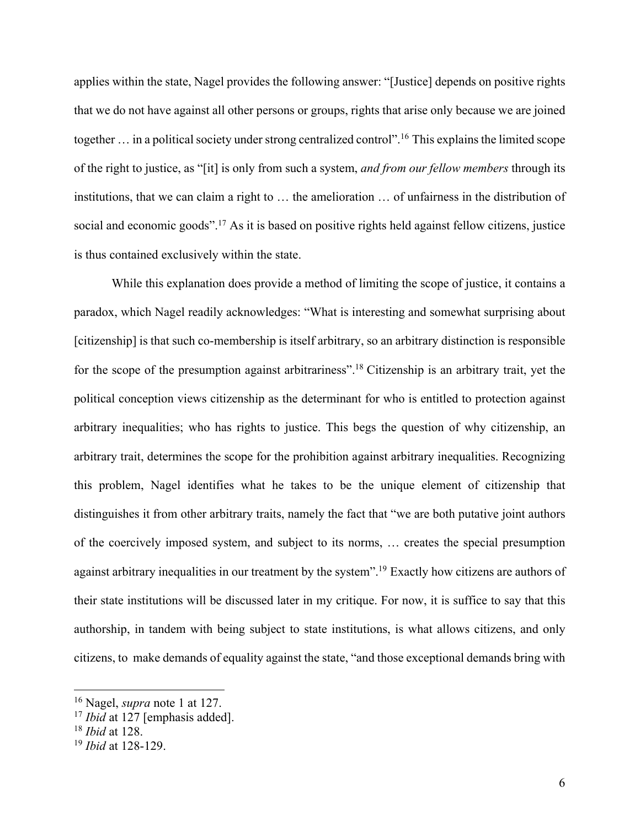applies within the state, Nagel provides the following answer: "[Justice] depends on positive rights that we do not have against all other persons or groups, rights that arise only because we are joined together ... in a political society under strong centralized control".<sup>16</sup> This explains the limited scope of the right to justice, as "[it] is only from such a system, *and from our fellow members* through its institutions, that we can claim a right to … the amelioration … of unfairness in the distribution of social and economic goods".<sup>17</sup> As it is based on positive rights held against fellow citizens, justice is thus contained exclusively within the state.

While this explanation does provide a method of limiting the scope of justice, it contains a paradox, which Nagel readily acknowledges: "What is interesting and somewhat surprising about [citizenship] is that such co-membership is itself arbitrary, so an arbitrary distinction is responsible for the scope of the presumption against arbitrariness".<sup>18</sup> Citizenship is an arbitrary trait, yet the political conception views citizenship as the determinant for who is entitled to protection against arbitrary inequalities; who has rights to justice. This begs the question of why citizenship, an arbitrary trait, determines the scope for the prohibition against arbitrary inequalities. Recognizing this problem, Nagel identifies what he takes to be the unique element of citizenship that distinguishes it from other arbitrary traits, namely the fact that "we are both putative joint authors of the coercively imposed system, and subject to its norms, … creates the special presumption against arbitrary inequalities in our treatment by the system".<sup>19</sup> Exactly how citizens are authors of their state institutions will be discussed later in my critique. For now, it is suffice to say that this authorship, in tandem with being subject to state institutions, is what allows citizens, and only citizens, to make demands of equality against the state, "and those exceptional demands bring with

<sup>16</sup> Nagel, *supra* note 1 at 127.

<sup>17</sup> *Ibid* at 127 [emphasis added].

<sup>18</sup> *Ibid* at 128.

<sup>19</sup> *Ibid* at 128-129.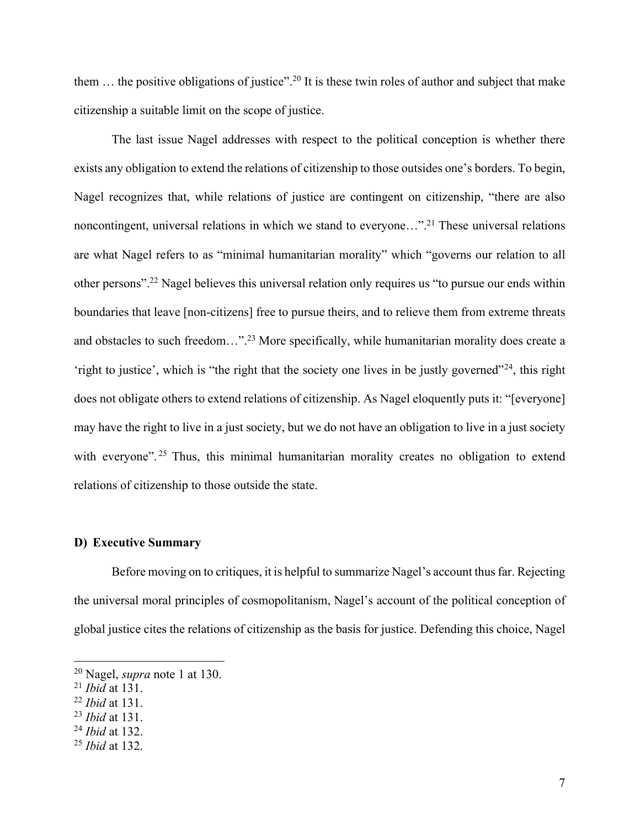them ... the positive obligations of justice".<sup>20</sup> It is these twin roles of author and subject that make citizenship a suitable limit on the scope of justice.

The last issue Nagel addresses with respect to the political conception is whether there exists any obligation to extend the relations of citizenship to those outsides one's borders. To begin, Nagel recognizes that, while relations of justice are contingent on citizenship, "there are also noncontingent, universal relations in which we stand to everyone..."<sup>21</sup> These universal relations are what Nagel refers to as "minimal humanitarian morality" which "governs our relation to all other persons". <sup>22</sup> Nagel believes this universal relation only requires us "to pursue our ends within boundaries that leave [non-citizens] free to pursue theirs, and to relieve them from extreme threats and obstacles to such freedom..."<sup>23</sup> More specifically, while humanitarian morality does create a 'right to justice', which is "the right that the society one lives in be justly governed"24, this right does not obligate others to extend relations of citizenship. As Nagel eloquently puts it: "[everyone] may have the right to live in a just society, but we do not have an obligation to live in a just society with everyone".<sup>25</sup> Thus, this minimal humanitarian morality creates no obligation to extend relations of citizenship to those outside the state.

#### **D) Executive Summary**

Before moving on to critiques, it is helpful to summarize Nagel's account thus far. Rejecting the universal moral principles of cosmopolitanism, Nagel's account of the political conception of global justice cites the relations of citizenship as the basis for justice. Defending this choice, Nagel

<sup>20</sup> Nagel, *supra* note 1 at 130.

<sup>21</sup> *Ibid* at 131.

<sup>22</sup> *Ibid* at 131.

<sup>23</sup> *Ibid* at 131.

<sup>24</sup> *Ibid* at 132.

<sup>25</sup> *Ibid* at 132.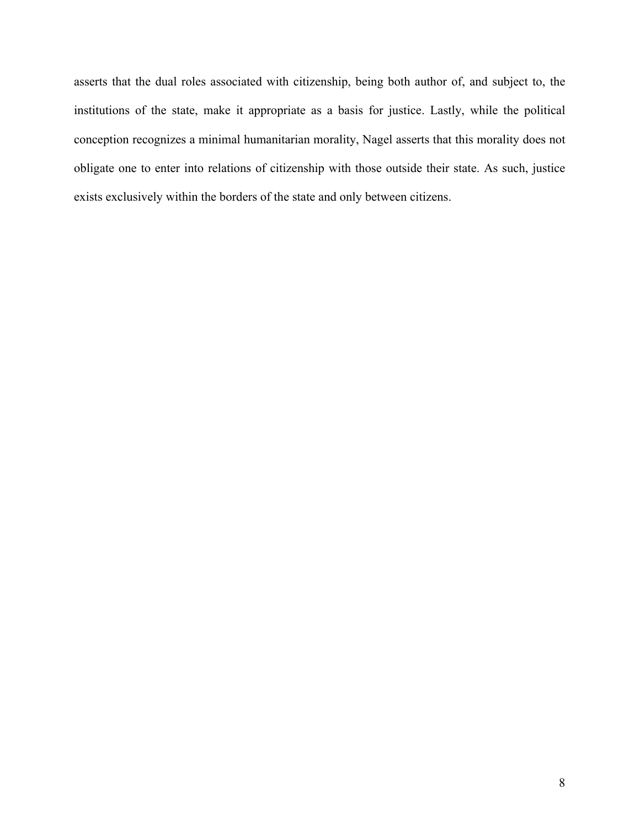asserts that the dual roles associated with citizenship, being both author of, and subject to, the institutions of the state, make it appropriate as a basis for justice. Lastly, while the political conception recognizes a minimal humanitarian morality, Nagel asserts that this morality does not obligate one to enter into relations of citizenship with those outside their state. As such, justice exists exclusively within the borders of the state and only between citizens.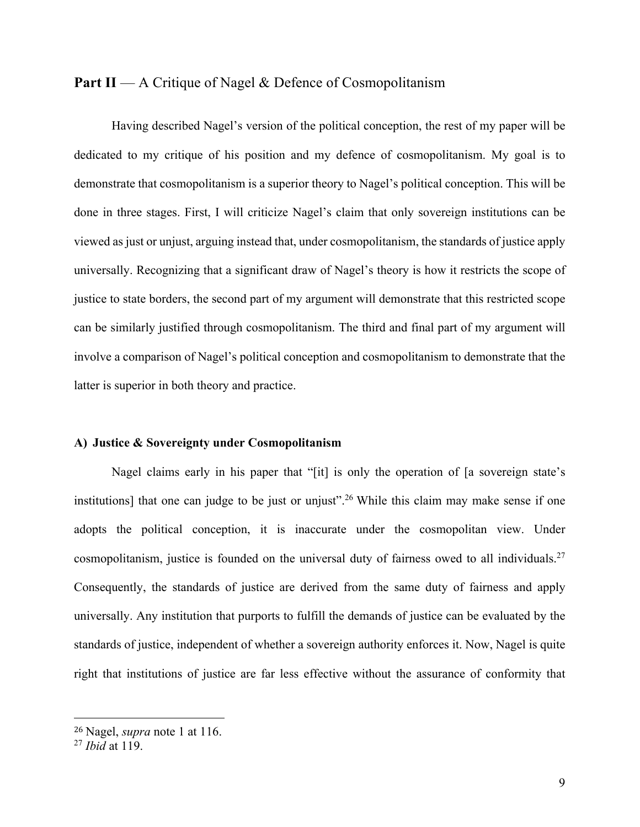# **Part II** — A Critique of Nagel & Defence of Cosmopolitanism

Having described Nagel's version of the political conception, the rest of my paper will be dedicated to my critique of his position and my defence of cosmopolitanism. My goal is to demonstrate that cosmopolitanism is a superior theory to Nagel's political conception. This will be done in three stages. First, I will criticize Nagel's claim that only sovereign institutions can be viewed as just or unjust, arguing instead that, under cosmopolitanism, the standards of justice apply universally. Recognizing that a significant draw of Nagel's theory is how it restricts the scope of justice to state borders, the second part of my argument will demonstrate that this restricted scope can be similarly justified through cosmopolitanism. The third and final part of my argument will involve a comparison of Nagel's political conception and cosmopolitanism to demonstrate that the latter is superior in both theory and practice.

#### **A) Justice & Sovereignty under Cosmopolitanism**

Nagel claims early in his paper that "[it] is only the operation of [a sovereign state's institutions] that one can judge to be just or unjust".<sup>26</sup> While this claim may make sense if one adopts the political conception, it is inaccurate under the cosmopolitan view. Under cosmopolitanism, justice is founded on the universal duty of fairness owed to all individuals.<sup>27</sup> Consequently, the standards of justice are derived from the same duty of fairness and apply universally. Any institution that purports to fulfill the demands of justice can be evaluated by the standards of justice, independent of whether a sovereign authority enforces it. Now, Nagel is quite right that institutions of justice are far less effective without the assurance of conformity that

<sup>26</sup> Nagel, *supra* note 1 at 116.

<sup>27</sup> *Ibid* at 119.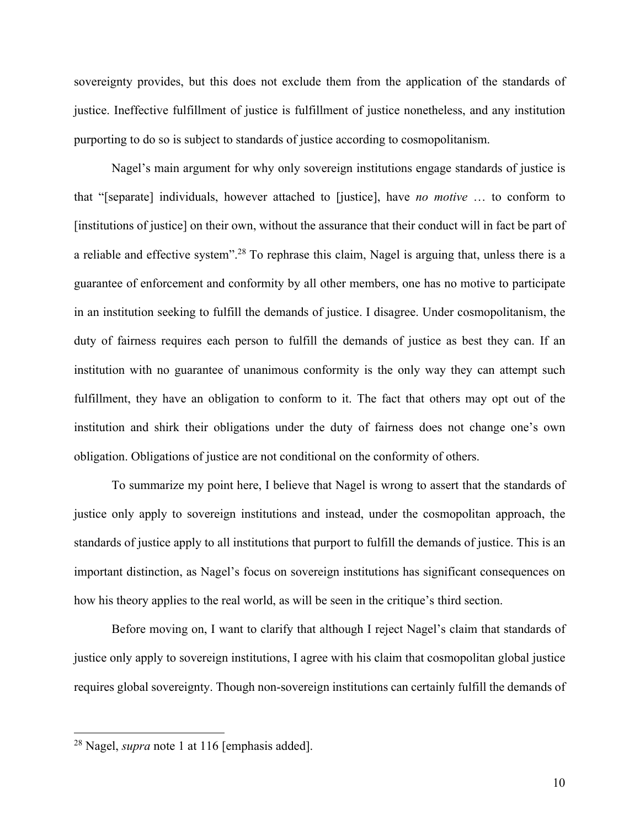sovereignty provides, but this does not exclude them from the application of the standards of justice. Ineffective fulfillment of justice is fulfillment of justice nonetheless, and any institution purporting to do so is subject to standards of justice according to cosmopolitanism.

Nagel's main argument for why only sovereign institutions engage standards of justice is that "[separate] individuals, however attached to [justice], have *no motive* … to conform to [institutions of justice] on their own, without the assurance that their conduct will in fact be part of a reliable and effective system".<sup>28</sup> To rephrase this claim, Nagel is arguing that, unless there is a guarantee of enforcement and conformity by all other members, one has no motive to participate in an institution seeking to fulfill the demands of justice. I disagree. Under cosmopolitanism, the duty of fairness requires each person to fulfill the demands of justice as best they can. If an institution with no guarantee of unanimous conformity is the only way they can attempt such fulfillment, they have an obligation to conform to it. The fact that others may opt out of the institution and shirk their obligations under the duty of fairness does not change one's own obligation. Obligations of justice are not conditional on the conformity of others.

To summarize my point here, I believe that Nagel is wrong to assert that the standards of justice only apply to sovereign institutions and instead, under the cosmopolitan approach, the standards of justice apply to all institutions that purport to fulfill the demands of justice. This is an important distinction, as Nagel's focus on sovereign institutions has significant consequences on how his theory applies to the real world, as will be seen in the critique's third section.

Before moving on, I want to clarify that although I reject Nagel's claim that standards of justice only apply to sovereign institutions, I agree with his claim that cosmopolitan global justice requires global sovereignty. Though non-sovereign institutions can certainly fulfill the demands of

<sup>28</sup> Nagel, *supra* note 1 at 116 [emphasis added].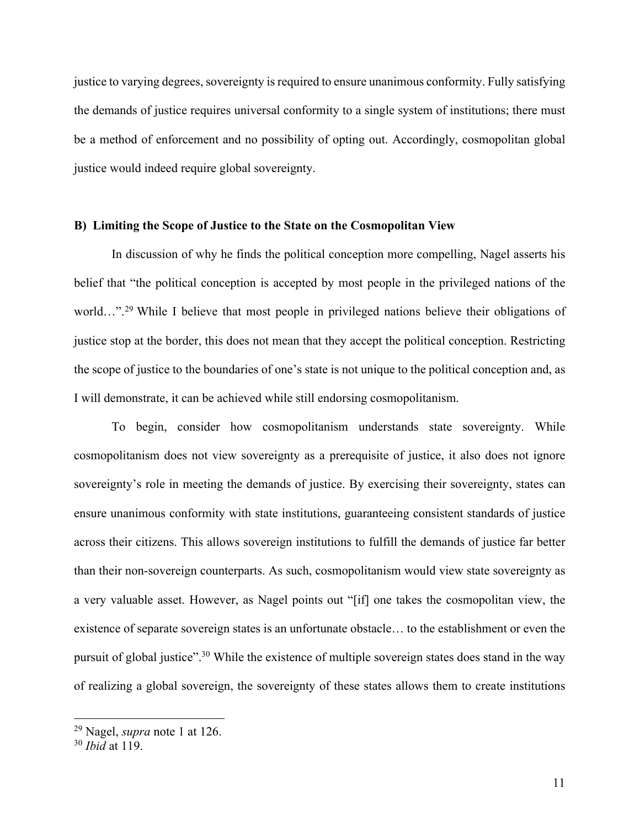justice to varying degrees, sovereignty is required to ensure unanimous conformity. Fully satisfying the demands of justice requires universal conformity to a single system of institutions; there must be a method of enforcement and no possibility of opting out. Accordingly, cosmopolitan global justice would indeed require global sovereignty.

#### **B) Limiting the Scope of Justice to the State on the Cosmopolitan View**

In discussion of why he finds the political conception more compelling, Nagel asserts his belief that "the political conception is accepted by most people in the privileged nations of the world...".<sup>29</sup> While I believe that most people in privileged nations believe their obligations of justice stop at the border, this does not mean that they accept the political conception. Restricting the scope of justice to the boundaries of one's state is not unique to the political conception and, as I will demonstrate, it can be achieved while still endorsing cosmopolitanism.

To begin, consider how cosmopolitanism understands state sovereignty. While cosmopolitanism does not view sovereignty as a prerequisite of justice, it also does not ignore sovereignty's role in meeting the demands of justice. By exercising their sovereignty, states can ensure unanimous conformity with state institutions, guaranteeing consistent standards of justice across their citizens. This allows sovereign institutions to fulfill the demands of justice far better than their non-sovereign counterparts. As such, cosmopolitanism would view state sovereignty as a very valuable asset. However, as Nagel points out "[if] one takes the cosmopolitan view, the existence of separate sovereign states is an unfortunate obstacle… to the establishment or even the pursuit of global justice".<sup>30</sup> While the existence of multiple sovereign states does stand in the way of realizing a global sovereign, the sovereignty of these states allows them to create institutions

<sup>29</sup> Nagel, *supra* note 1 at 126.

<sup>30</sup> *Ibid* at 119.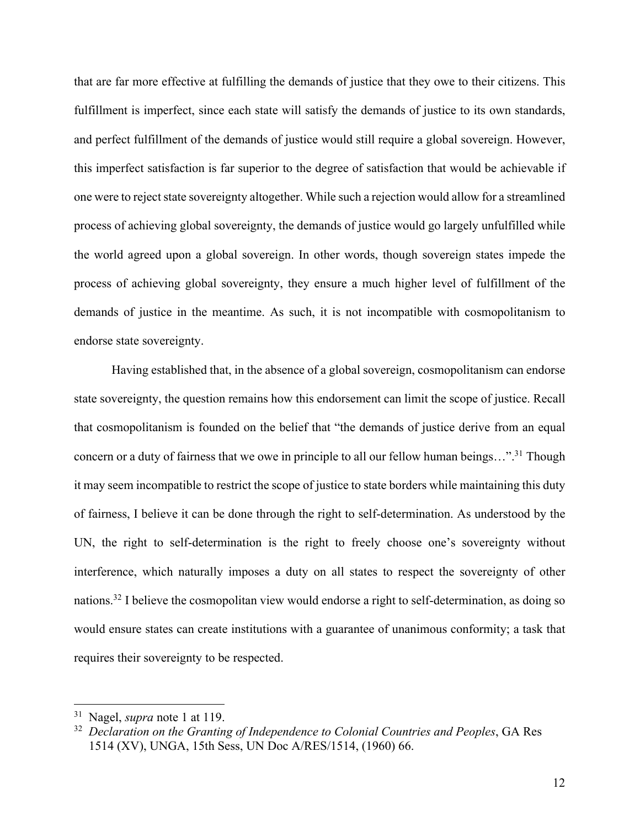that are far more effective at fulfilling the demands of justice that they owe to their citizens. This fulfillment is imperfect, since each state will satisfy the demands of justice to its own standards, and perfect fulfillment of the demands of justice would still require a global sovereign. However, this imperfect satisfaction is far superior to the degree of satisfaction that would be achievable if one were to reject state sovereignty altogether. While such a rejection would allow for a streamlined process of achieving global sovereignty, the demands of justice would go largely unfulfilled while the world agreed upon a global sovereign. In other words, though sovereign states impede the process of achieving global sovereignty, they ensure a much higher level of fulfillment of the demands of justice in the meantime. As such, it is not incompatible with cosmopolitanism to endorse state sovereignty.

Having established that, in the absence of a global sovereign, cosmopolitanism can endorse state sovereignty, the question remains how this endorsement can limit the scope of justice. Recall that cosmopolitanism is founded on the belief that "the demands of justice derive from an equal concern or a duty of fairness that we owe in principle to all our fellow human beings..."<sup>31</sup> Though it may seem incompatible to restrict the scope of justice to state borders while maintaining this duty of fairness, I believe it can be done through the right to self-determination. As understood by the UN, the right to self-determination is the right to freely choose one's sovereignty without interference, which naturally imposes a duty on all states to respect the sovereignty of other nations. <sup>32</sup> I believe the cosmopolitan view would endorse a right to self-determination, as doing so would ensure states can create institutions with a guarantee of unanimous conformity; a task that requires their sovereignty to be respected.

<sup>31</sup> Nagel, *supra* note 1 at 119.

<sup>32</sup> *Declaration on the Granting of Independence to Colonial Countries and Peoples*, GA Res 1514 (XV), UNGA, 15th Sess, UN Doc A/RES/1514, (1960) 66.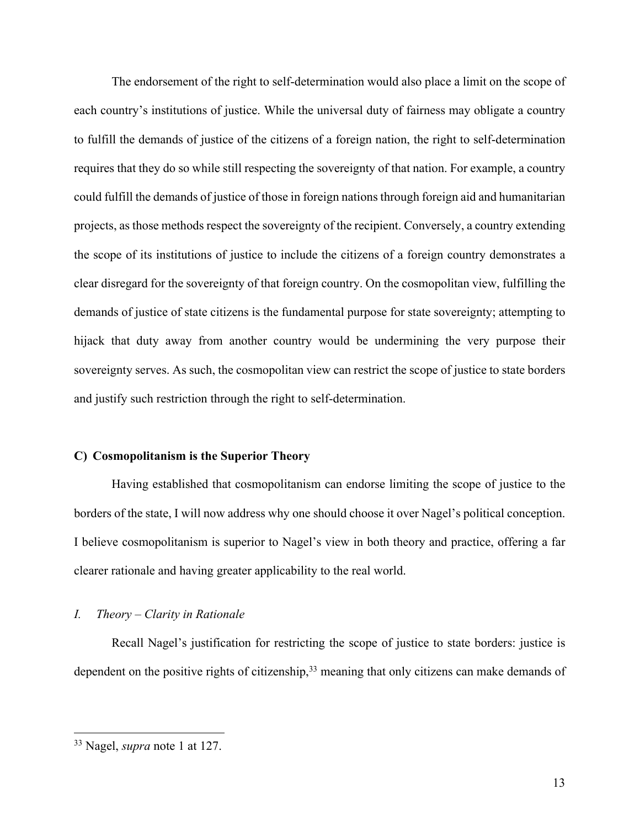The endorsement of the right to self-determination would also place a limit on the scope of each country's institutions of justice. While the universal duty of fairness may obligate a country to fulfill the demands of justice of the citizens of a foreign nation, the right to self-determination requires that they do so while still respecting the sovereignty of that nation. For example, a country could fulfill the demands of justice of those in foreign nations through foreign aid and humanitarian projects, as those methods respect the sovereignty of the recipient. Conversely, a country extending the scope of its institutions of justice to include the citizens of a foreign country demonstrates a clear disregard for the sovereignty of that foreign country. On the cosmopolitan view, fulfilling the demands of justice of state citizens is the fundamental purpose for state sovereignty; attempting to hijack that duty away from another country would be undermining the very purpose their sovereignty serves. As such, the cosmopolitan view can restrict the scope of justice to state borders and justify such restriction through the right to self-determination.

#### **C) Cosmopolitanism is the Superior Theory**

Having established that cosmopolitanism can endorse limiting the scope of justice to the borders of the state, I will now address why one should choose it over Nagel's political conception. I believe cosmopolitanism is superior to Nagel's view in both theory and practice, offering a far clearer rationale and having greater applicability to the real world.

#### *I. Theory – Clarity in Rationale*

Recall Nagel's justification for restricting the scope of justice to state borders: justice is dependent on the positive rights of citizenship,<sup>33</sup> meaning that only citizens can make demands of

<sup>33</sup> Nagel, *supra* note 1 at 127.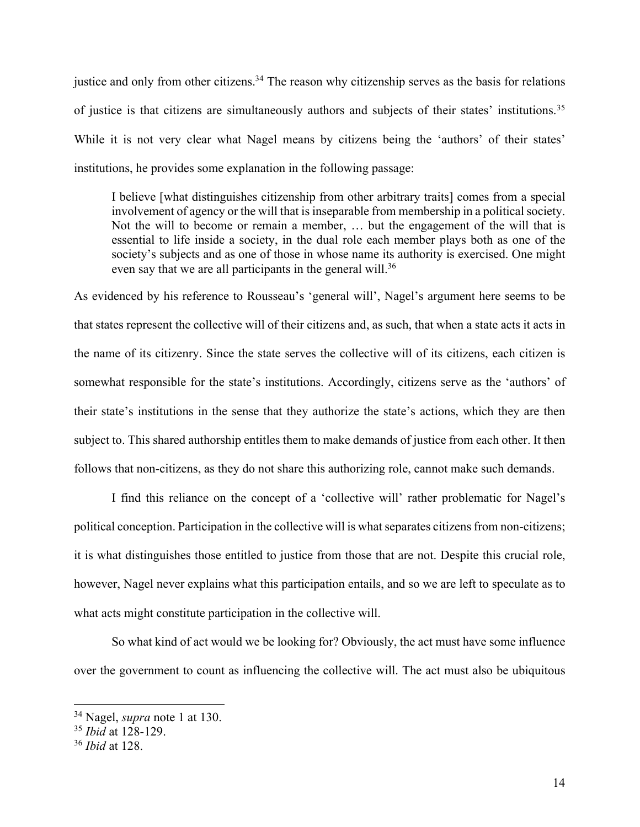justice and only from other citizens.<sup>34</sup> The reason why citizenship serves as the basis for relations of justice is that citizens are simultaneously authors and subjects of their states' institutions.<sup>35</sup> While it is not very clear what Nagel means by citizens being the 'authors' of their states' institutions, he provides some explanation in the following passage:

I believe [what distinguishes citizenship from other arbitrary traits] comes from a special involvement of agency or the will that is inseparable from membership in a political society. Not the will to become or remain a member, … but the engagement of the will that is essential to life inside a society, in the dual role each member plays both as one of the society's subjects and as one of those in whose name its authority is exercised. One might even say that we are all participants in the general will.<sup>36</sup>

As evidenced by his reference to Rousseau's 'general will', Nagel's argument here seems to be that states represent the collective will of their citizens and, as such, that when a state acts it acts in the name of its citizenry. Since the state serves the collective will of its citizens, each citizen is somewhat responsible for the state's institutions. Accordingly, citizens serve as the 'authors' of their state's institutions in the sense that they authorize the state's actions, which they are then subject to. This shared authorship entitles them to make demands of justice from each other. It then follows that non-citizens, as they do not share this authorizing role, cannot make such demands.

I find this reliance on the concept of a 'collective will' rather problematic for Nagel's political conception. Participation in the collective will is what separates citizens from non-citizens; it is what distinguishes those entitled to justice from those that are not. Despite this crucial role, however, Nagel never explains what this participation entails, and so we are left to speculate as to what acts might constitute participation in the collective will.

So what kind of act would we be looking for? Obviously, the act must have some influence over the government to count as influencing the collective will. The act must also be ubiquitous

<sup>34</sup> Nagel, *supra* note 1 at 130.

<sup>35</sup> *Ibid* at 128-129.

<sup>36</sup> *Ibid* at 128.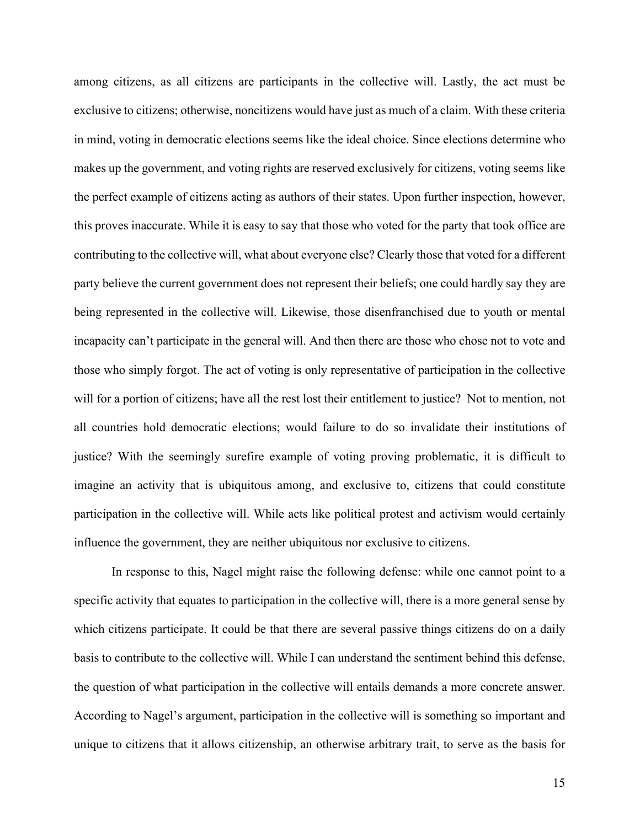among citizens, as all citizens are participants in the collective will. Lastly, the act must be exclusive to citizens; otherwise, noncitizens would have just as much of a claim. With these criteria in mind, voting in democratic elections seems like the ideal choice. Since elections determine who makes up the government, and voting rights are reserved exclusively for citizens, voting seems like the perfect example of citizens acting as authors of their states. Upon further inspection, however, this proves inaccurate. While it is easy to say that those who voted for the party that took office are contributing to the collective will, what about everyone else? Clearly those that voted for a different party believe the current government does not represent their beliefs; one could hardly say they are being represented in the collective will. Likewise, those disenfranchised due to youth or mental incapacity can't participate in the general will. And then there are those who chose not to vote and those who simply forgot. The act of voting is only representative of participation in the collective will for a portion of citizens; have all the rest lost their entitlement to justice? Not to mention, not all countries hold democratic elections; would failure to do so invalidate their institutions of justice? With the seemingly surefire example of voting proving problematic, it is difficult to imagine an activity that is ubiquitous among, and exclusive to, citizens that could constitute participation in the collective will. While acts like political protest and activism would certainly influence the government, they are neither ubiquitous nor exclusive to citizens.

In response to this, Nagel might raise the following defense: while one cannot point to a specific activity that equates to participation in the collective will, there is a more general sense by which citizens participate. It could be that there are several passive things citizens do on a daily basis to contribute to the collective will. While I can understand the sentiment behind this defense, the question of what participation in the collective will entails demands a more concrete answer. According to Nagel's argument, participation in the collective will is something so important and unique to citizens that it allows citizenship, an otherwise arbitrary trait, to serve as the basis for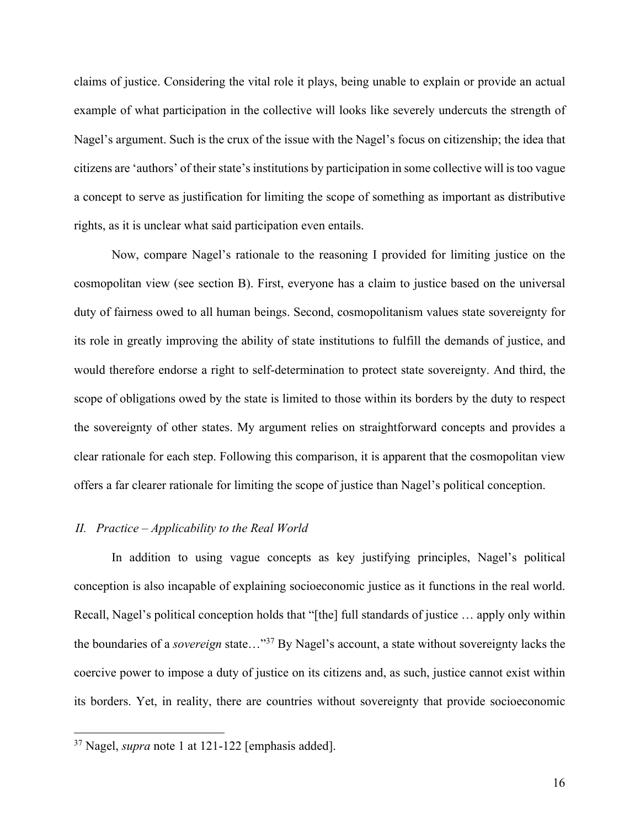claims of justice. Considering the vital role it plays, being unable to explain or provide an actual example of what participation in the collective will looks like severely undercuts the strength of Nagel's argument. Such is the crux of the issue with the Nagel's focus on citizenship; the idea that citizens are 'authors' of their state's institutions by participation in some collective will is too vague a concept to serve as justification for limiting the scope of something as important as distributive rights, as it is unclear what said participation even entails.

Now, compare Nagel's rationale to the reasoning I provided for limiting justice on the cosmopolitan view (see section B). First, everyone has a claim to justice based on the universal duty of fairness owed to all human beings. Second, cosmopolitanism values state sovereignty for its role in greatly improving the ability of state institutions to fulfill the demands of justice, and would therefore endorse a right to self-determination to protect state sovereignty. And third, the scope of obligations owed by the state is limited to those within its borders by the duty to respect the sovereignty of other states. My argument relies on straightforward concepts and provides a clear rationale for each step. Following this comparison, it is apparent that the cosmopolitan view offers a far clearer rationale for limiting the scope of justice than Nagel's political conception.

#### *II. Practice – Applicability to the Real World*

In addition to using vague concepts as key justifying principles, Nagel's political conception is also incapable of explaining socioeconomic justice as it functions in the real world. Recall, Nagel's political conception holds that "[the] full standards of justice … apply only within the boundaries of a *sovereign* state…"37 By Nagel's account, a state without sovereignty lacks the coercive power to impose a duty of justice on its citizens and, as such, justice cannot exist within its borders. Yet, in reality, there are countries without sovereignty that provide socioeconomic

<sup>37</sup> Nagel, *supra* note 1 at 121-122 [emphasis added].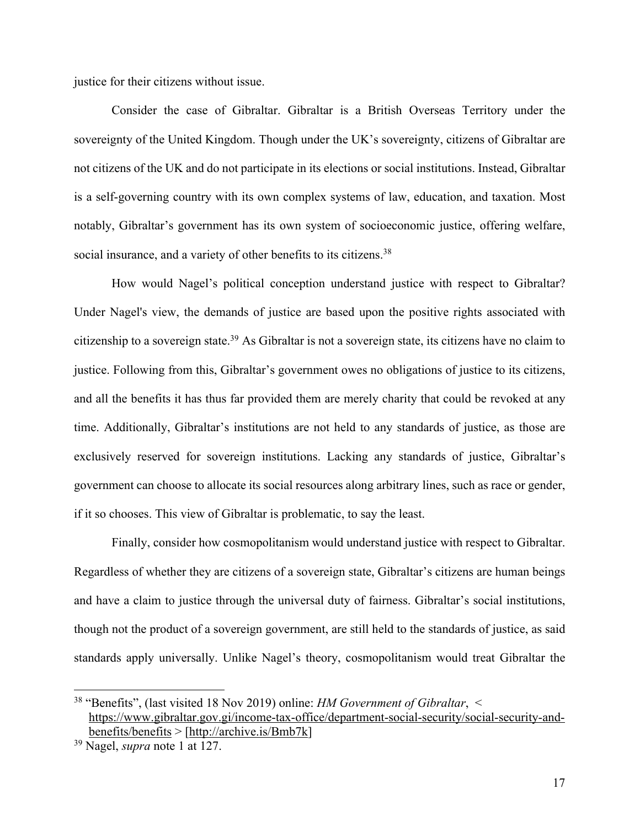justice for their citizens without issue.

Consider the case of Gibraltar. Gibraltar is a British Overseas Territory under the sovereignty of the United Kingdom. Though under the UK's sovereignty, citizens of Gibraltar are not citizens of the UK and do not participate in its elections or social institutions. Instead, Gibraltar is a self-governing country with its own complex systems of law, education, and taxation. Most notably, Gibraltar's government has its own system of socioeconomic justice, offering welfare, social insurance, and a variety of other benefits to its citizens.<sup>38</sup>

How would Nagel's political conception understand justice with respect to Gibraltar? Under Nagel's view, the demands of justice are based upon the positive rights associated with citizenship to a sovereign state. <sup>39</sup> As Gibraltar is not a sovereign state, its citizens have no claim to justice. Following from this, Gibraltar's government owes no obligations of justice to its citizens, and all the benefits it has thus far provided them are merely charity that could be revoked at any time. Additionally, Gibraltar's institutions are not held to any standards of justice, as those are exclusively reserved for sovereign institutions. Lacking any standards of justice, Gibraltar's government can choose to allocate its social resources along arbitrary lines, such as race or gender, if it so chooses. This view of Gibraltar is problematic, to say the least.

Finally, consider how cosmopolitanism would understand justice with respect to Gibraltar. Regardless of whether they are citizens of a sovereign state, Gibraltar's citizens are human beings and have a claim to justice through the universal duty of fairness. Gibraltar's social institutions, though not the product of a sovereign government, are still held to the standards of justice, as said standards apply universally. Unlike Nagel's theory, cosmopolitanism would treat Gibraltar the

<sup>38</sup> "Benefits", (last visited 18 Nov 2019) online: *HM Government of Gibraltar*, < https://www.gibraltar.gov.gi/income-tax-office/department-social-security/social-security-andbenefits/benefits > [http://archive.is/Bmb7k]

<sup>39</sup> Nagel, *supra* note 1 at 127.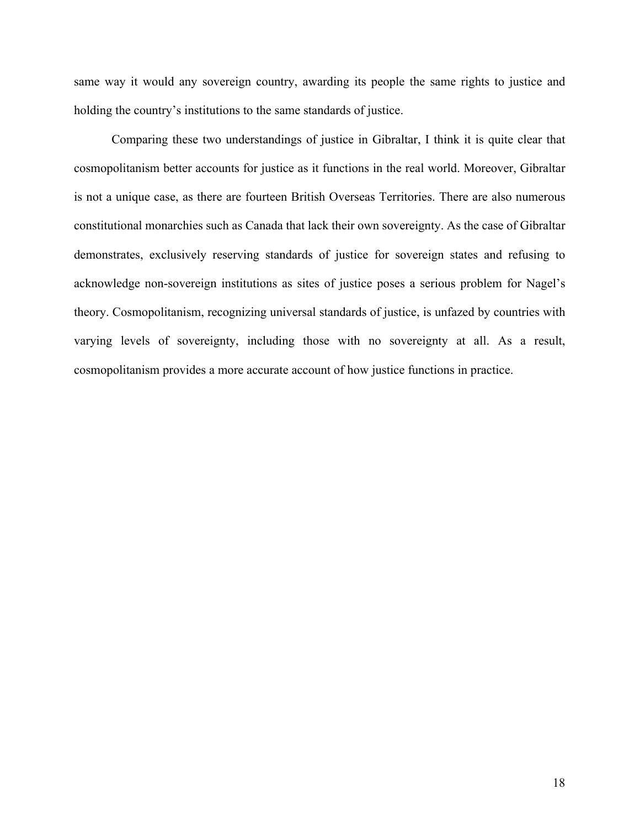same way it would any sovereign country, awarding its people the same rights to justice and holding the country's institutions to the same standards of justice.

Comparing these two understandings of justice in Gibraltar, I think it is quite clear that cosmopolitanism better accounts for justice as it functions in the real world. Moreover, Gibraltar is not a unique case, as there are fourteen British Overseas Territories. There are also numerous constitutional monarchies such as Canada that lack their own sovereignty. As the case of Gibraltar demonstrates, exclusively reserving standards of justice for sovereign states and refusing to acknowledge non-sovereign institutions as sites of justice poses a serious problem for Nagel's theory. Cosmopolitanism, recognizing universal standards of justice, is unfazed by countries with varying levels of sovereignty, including those with no sovereignty at all. As a result, cosmopolitanism provides a more accurate account of how justice functions in practice.